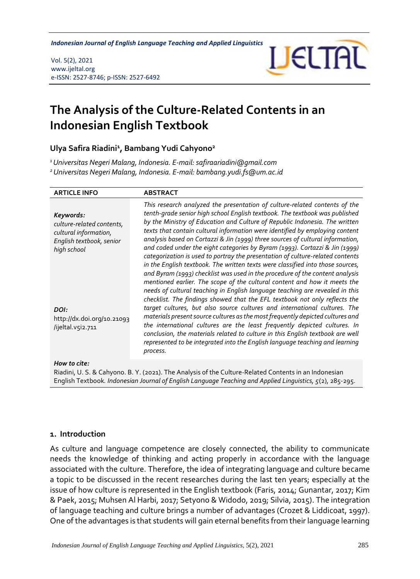*Indonesian Journal of English Language Teaching and Applied Linguistics* 

Vol. 5(2), 2021 www.ijeltal.org e-ISSN: 2527-8746; p-ISSN: 2527-6492



# **The Analysis of the Culture-Related Contents in an Indonesian English Textbook**

## **Ulya Safira Riadini<sup>1</sup> , Bambang Yudi Cahyono<sup>2</sup>**

*<sup>1</sup>Universitas Negeri Malang, Indonesia. E-mail: safiraariadini@gmail.com <sup>2</sup>Universitas Negeri Malang, Indonesia. E-mail: bambang.yudi.fs@um.ac.id*

| <b>ARTICLE INFO</b>                                                                                        | <b>ABSTRACT</b>                                                                                                                                                                                                                                                                                                                                                                                                                                                                                                                                                                                                                                                                                                                                                                                                                                                                                            |
|------------------------------------------------------------------------------------------------------------|------------------------------------------------------------------------------------------------------------------------------------------------------------------------------------------------------------------------------------------------------------------------------------------------------------------------------------------------------------------------------------------------------------------------------------------------------------------------------------------------------------------------------------------------------------------------------------------------------------------------------------------------------------------------------------------------------------------------------------------------------------------------------------------------------------------------------------------------------------------------------------------------------------|
| Keywords:<br>culture-related contents,<br>cultural information,<br>English textbook, senior<br>high school | This research analyzed the presentation of culture-related contents of the<br>tenth-grade senior high school English textbook. The textbook was published<br>by the Ministry of Education and Culture of Republic Indonesia. The written<br>texts that contain cultural information were identified by employing content<br>analysis based on Cortazzi & Jin (1999) three sources of cultural information,<br>and coded under the eight categories by Byram (1993). Cortazzi & Jin (1999)<br>categorization is used to portray the presentation of culture-related contents<br>in the English textbook. The written texts were classified into those sources,<br>and Byram (1993) checklist was used in the procedure of the content analysis<br>mentioned earlier. The scope of the cultural content and how it meets the<br>needs of cultural teaching in English language teaching are revealed in this |
| DOI:<br>http://dx.doi.org/10.21093<br>/ijeltal.v5i2.711                                                    | checklist. The findings showed that the EFL textbook not only reflects the<br>target cultures, but also source cultures and international cultures. The<br>materials present source cultures as the most frequently depicted cultures and<br>the international cultures are the least frequently depicted cultures. In<br>conclusion, the materials related to culture in this English textbook are well<br>represented to be integrated into the English language teaching and learning<br>process.                                                                                                                                                                                                                                                                                                                                                                                                       |
| How to cite:                                                                                               |                                                                                                                                                                                                                                                                                                                                                                                                                                                                                                                                                                                                                                                                                                                                                                                                                                                                                                            |

Riadini, U. S. & Cahyono. B. Y. (2021). The Analysis of the Culture-Related Contents in an Indonesian English Textbook*. Indonesian Journal of English Language Teaching and Applied Linguistics, 5*(2), 285-295.

#### **1. Introduction**

As culture and language competence are closely connected, the ability to communicate needs the knowledge of thinking and acting properly in accordance with the language associated with the culture. Therefore, the idea of integrating language and culture became a topic to be discussed in the recent researches during the last ten years; especially at the issue of how culture is represented in the English textbook (Faris, 2014; Gunantar, 2017; Kim & Paek, 2015; Muhsen Al Harbi, 2017; Setyono & Widodo, 2019; Silvia, 2015). The integration of language teaching and culture brings a number of advantages (Crozet & Liddicoat, 1997). One of the advantages is that students will gain eternal benefits from their language learning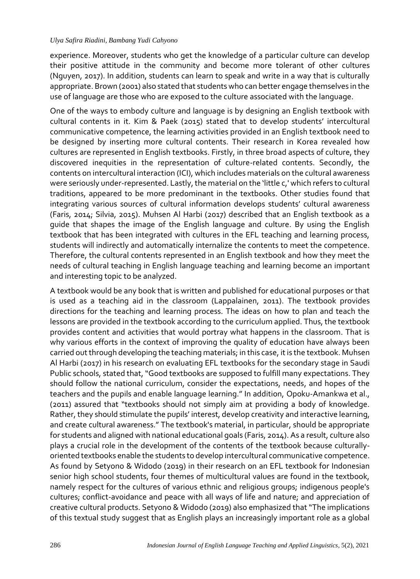experience. Moreover, students who get the knowledge of a particular culture can develop their positive attitude in the community and become more tolerant of other cultures (Nguyen, 2017). In addition, students can learn to speak and write in a way that is culturally appropriate. Brown (2001) also stated that students who can better engage themselves in the use of language are those who are exposed to the culture associated with the language.

One of the ways to embody culture and language is by designing an English textbook with cultural contents in it. Kim & Paek (2015) stated that to develop students' intercultural communicative competence, the learning activities provided in an English textbook need to be designed by inserting more cultural contents. Their research in Korea revealed how cultures are represented in English textbooks. Firstly, in three broad aspects of culture, they discovered inequities in the representation of culture-related contents. Secondly, the contents on intercultural interaction (ICI), which includes materials on the cultural awareness were seriously under-represented. Lastly, the material on the 'little c,' which refers to cultural traditions, appeared to be more predominant in the textbooks. Other studies found that integrating various sources of cultural information develops students' cultural awareness (Faris, 2014; Silvia, 2015). Muhsen Al Harbi (2017) described that an English textbook as a guide that shapes the image of the English language and culture. By using the English textbook that has been integrated with cultures in the EFL teaching and learning process, students will indirectly and automatically internalize the contents to meet the competence. Therefore, the cultural contents represented in an English textbook and how they meet the needs of cultural teaching in English language teaching and learning become an important and interesting topic to be analyzed.

A textbook would be any book that is written and published for educational purposes or that is used as a teaching aid in the classroom (Lappalainen, 2011). The textbook provides directions for the teaching and learning process. The ideas on how to plan and teach the lessons are provided in the textbook according to the curriculum applied. Thus, the textbook provides content and activities that would portray what happens in the classroom. That is why various efforts in the context of improving the quality of education have always been carried out through developing the teaching materials; in this case, it is the textbook. Muhsen Al Harbi (2017) in his research on evaluating EFL textbooks for the secondary stage in Saudi Public schools, stated that, "Good textbooks are supposed to fulfill many expectations. They should follow the national curriculum, consider the expectations, needs, and hopes of the teachers and the pupils and enable language learning." In addition, Opoku-Amankwa et al., (2011) assured that "textbooks should not simply aim at providing a body of knowledge. Rather, they should stimulate the pupils' interest, develop creativity and interactive learning, and create cultural awareness." The textbook's material, in particular, should be appropriate for students and aligned with national educational goals (Faris, 2014). As a result, culture also plays a crucial role in the development of the contents of the textbook because culturallyoriented textbooks enable the students to develop intercultural communicative competence. As found by Setyono & Widodo (2019) in their research on an EFL textbook for Indonesian senior high school students, four themes of multicultural values are found in the textbook, namely respect for the cultures of various ethnic and religious groups; indigenous people's cultures; conflict-avoidance and peace with all ways of life and nature; and appreciation of creative cultural products. Setyono & Widodo (2019) also emphasized that "The implications of this textual study suggest that as English plays an increasingly important role as a global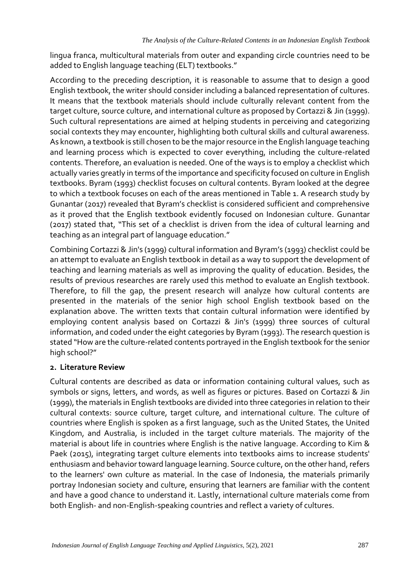lingua franca, multicultural materials from outer and expanding circle countries need to be added to English language teaching (ELT) textbooks."

According to the preceding description, it is reasonable to assume that to design a good English textbook, the writer should consider including a balanced representation of cultures. It means that the textbook materials should include culturally relevant content from the target culture, source culture, and international culture as proposed by Cortazzi & Jin (1999). Such cultural representations are aimed at helping students in perceiving and categorizing social contexts they may encounter, highlighting both cultural skills and cultural awareness. As known, a textbook is still chosen to be the major resource in the English language teaching and learning process which is expected to cover everything, including the culture-related contents. Therefore, an evaluation is needed. One of the ways is to employ a checklist which actually varies greatly in terms of the importance and specificity focused on culture in English textbooks. Byram (1993) checklist focuses on cultural contents. Byram looked at the degree to which a textbook focuses on each of the areas mentioned in Table 1. A research study by Gunantar (2017) revealed that Byram's checklist is considered sufficient and comprehensive as it proved that the English textbook evidently focused on Indonesian culture. Gunantar (2017) stated that, "This set of a checklist is driven from the idea of cultural learning and teaching as an integral part of language education."

Combining Cortazzi & Jin's (1999) cultural information and Byram's (1993) checklist could be an attempt to evaluate an English textbook in detail as a way to support the development of teaching and learning materials as well as improving the quality of education. Besides, the results of previous researches are rarely used this method to evaluate an English textbook. Therefore, to fill the gap, the present research will analyze how cultural contents are presented in the materials of the senior high school English textbook based on the explanation above. The written texts that contain cultural information were identified by employing content analysis based on Cortazzi & Jin's (1999) three sources of cultural information, and coded under the eight categories by Byram (1993). The research question is stated "How are the culture-related contents portrayed in the English textbook for the senior high school?"

## **2. Literature Review**

Cultural contents are described as data or information containing cultural values, such as symbols or signs, letters, and words, as well as figures or pictures. Based on Cortazzi & Jin (1999), the materials in English textbooks are divided into three categories in relation to their cultural contexts: source culture, target culture, and international culture. The culture of countries where English is spoken as a first language, such as the United States, the United Kingdom, and Australia, is included in the target culture materials. The majority of the material is about life in countries where English is the native language. According to Kim & Paek (2015), integrating target culture elements into textbooks aims to increase students' enthusiasm and behavior toward language learning. Source culture, on the other hand, refers to the learners' own culture as material. In the case of Indonesia, the materials primarily portray Indonesian society and culture, ensuring that learners are familiar with the content and have a good chance to understand it. Lastly, international culture materials come from both English- and non-English-speaking countries and reflect a variety of cultures.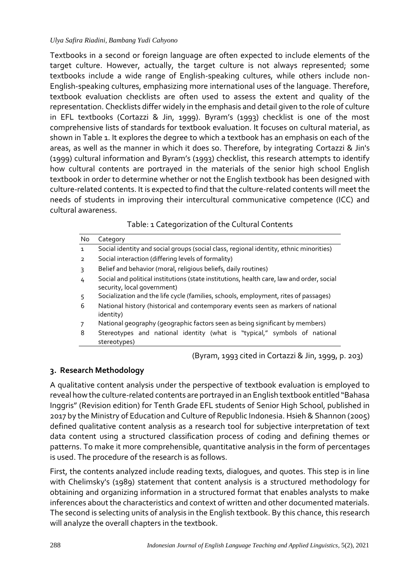Textbooks in a second or foreign language are often expected to include elements of the target culture. However, actually, the target culture is not always represented; some textbooks include a wide range of English-speaking cultures, while others include non-English-speaking cultures, emphasizing more international uses of the language. Therefore, textbook evaluation checklists are often used to assess the extent and quality of the representation. Checklists differ widely in the emphasis and detail given to the role of culture in EFL textbooks (Cortazzi & Jin, 1999). Byram's (1993) checklist is one of the most comprehensive lists of standards for textbook evaluation. It focuses on cultural material, as shown in Table 1. It explores the degree to which a textbook has an emphasis on each of the areas, as well as the manner in which it does so. Therefore, by integrating Cortazzi & Jin's (1999) cultural information and Byram's (1993) checklist, this research attempts to identify how cultural contents are portrayed in the materials of the senior high school English textbook in order to determine whether or not the English textbook has been designed with culture-related contents. It is expected to find that the culture-related contents will meet the needs of students in improving their intercultural communicative competence (ICC) and cultural awareness.

# Table: 1 Categorization of the Cultural Contents

| No             | Category                                                                                                                 |  |  |  |  |  |
|----------------|--------------------------------------------------------------------------------------------------------------------------|--|--|--|--|--|
| $\mathbf{1}$   | Social identity and social groups (social class, regional identity, ethnic minorities)                                   |  |  |  |  |  |
| $\overline{2}$ | Social interaction (differing levels of formality)                                                                       |  |  |  |  |  |
| 3              | Belief and behavior (moral, religious beliefs, daily routines)                                                           |  |  |  |  |  |
| 4              | Social and political institutions (state institutions, health care, law and order, social<br>security, local government) |  |  |  |  |  |
| 5              | Socialization and the life cycle (families, schools, employment, rites of passages)                                      |  |  |  |  |  |
| 6              | National history (historical and contemporary events seen as markers of national<br>identity)                            |  |  |  |  |  |
|                | National geography (geographic factors seen as being significant by members)                                             |  |  |  |  |  |
| 8              | Stereotypes and national identity (what is "typical," symbols of national<br>stereotypes)                                |  |  |  |  |  |

(Byram, 1993 cited in Cortazzi & Jin, 1999, p. 203)

# **3. Research Methodology**

A qualitative content analysis under the perspective of textbook evaluation is employed to reveal how the culture-related contents are portrayed in an English textbook entitled "Bahasa Inggris" (Revision edition) for Tenth Grade EFL students of Senior High School, published in 2017 by the Ministry of Education and Culture of Republic Indonesia. Hsieh & Shannon (2005) defined qualitative content analysis as a research tool for subjective interpretation of text data content using a structured classification process of coding and defining themes or patterns. To make it more comprehensible, quantitative analysis in the form of percentages is used. The procedure of the research is as follows.

First, the contents analyzed include reading texts, dialogues, and quotes. This step is in line with Chelimsky's (1989) statement that content analysis is a structured methodology for obtaining and organizing information in a structured format that enables analysts to make inferences about the characteristics and context of written and other documented materials. The second is selecting units of analysis in the English textbook. By this chance, this research will analyze the overall chapters in the textbook.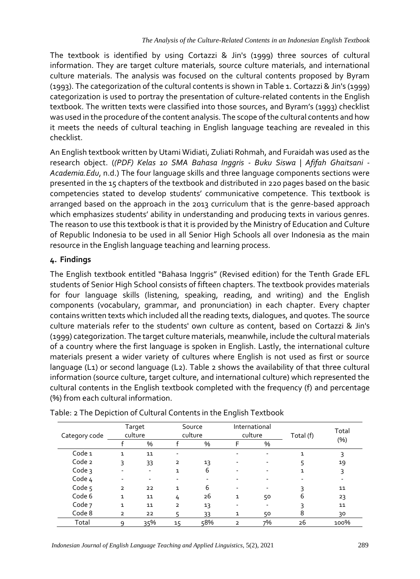The textbook is identified by using Cortazzi & Jin's (1999) three sources of cultural information. They are target culture materials, source culture materials, and international culture materials. The analysis was focused on the cultural contents proposed by Byram (1993). The categorization of the cultural contents is shown in Table 1. Cortazzi & Jin's (1999) categorization is used to portray the presentation of culture-related contents in the English textbook. The written texts were classified into those sources, and Byram's (1993) checklist was used in the procedure of the content analysis. The scope of the cultural contents and how it meets the needs of cultural teaching in English language teaching are revealed in this checklist.

An English textbook written by Utami Widiati, Zuliati Rohmah, and Furaidah was used as the research object. (*(PDF) Kelas 10 SMA Bahasa Inggris - Buku Siswa | Afifah Ghaitsani - Academia.Edu*, n.d.) The four language skills and three language components sections were presented in the 15 chapters of the textbook and distributed in 220 pages based on the basic competencies stated to develop students' communicative competence. This textbook is arranged based on the approach in the 2013 curriculum that is the genre-based approach which emphasizes students' ability in understanding and producing texts in various genres. The reason to use this textbook is that it is provided by the Ministry of Education and Culture of Republic Indonesia to be used in all Senior High Schools all over Indonesia as the main resource in the English language teaching and learning process.

# **4. Findings**

The English textbook entitled "Bahasa Inggris" (Revised edition) for the Tenth Grade EFL students of Senior High School consists of fifteen chapters. The textbook provides materials for four language skills (listening, speaking, reading, and writing) and the English components (vocabulary, grammar, and pronunciation) in each chapter. Every chapter contains written texts which included all the reading texts, dialogues, and quotes. The source culture materials refer to the students' own culture as content, based on Cortazzi & Jin's (1999) categorization. The target culture materials, meanwhile, include the cultural materials of a country where the first language is spoken in English. Lastly, the international culture materials present a wider variety of cultures where English is not used as first or source language (L1) or second language (L2). Table 2 shows the availability of that three cultural information (source culture, target culture, and international culture) which represented the cultural contents in the English textbook completed with the frequency (f) and percentage (%) from each cultural information.

| Category code       | Target<br>culture |     | Source<br>culture |     | International<br>culture |    | Total (f) | Total   |
|---------------------|-------------------|-----|-------------------|-----|--------------------------|----|-----------|---------|
|                     |                   | %   |                   | %   | F                        | %  |           | $(\% )$ |
| Code <sub>1</sub>   | 1                 | 11  |                   |     |                          |    |           | 3       |
| Code 2              | 3                 | 33  | $\overline{2}$    | 13  |                          |    |           | 19      |
| Code $\overline{3}$ |                   | ٠   | $\mathbf{1}$      | 6   |                          |    |           | 3       |
| Code 4              |                   |     |                   |     |                          |    |           |         |
| Code <sub>5</sub>   | $\overline{2}$    | 22  | 1                 | 6   |                          |    |           | 11      |
| Code 6              | $\mathbf{1}$      | 11  | 4                 | 26  | 1                        | 50 | 6         | 23      |
| Code 7              | $\mathbf{1}$      | 11  | $\overline{2}$    | 13  |                          |    |           | 11      |
| Code 8              | $\overline{2}$    | 22  | 5                 | 33  | 1                        | 50 | 8         | 30      |
| Total               | 9                 | 35% | 15                | 58% | $\overline{2}$           | 7% | 26        | 100%    |

| Table: 2 The Depiction of Cultural Contents in the English Textbook |  |  |
|---------------------------------------------------------------------|--|--|
|                                                                     |  |  |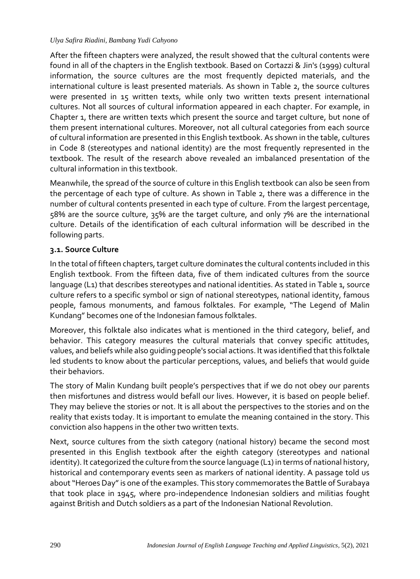After the fifteen chapters were analyzed, the result showed that the cultural contents were found in all of the chapters in the English textbook. Based on Cortazzi & Jin's (1999) cultural information, the source cultures are the most frequently depicted materials, and the international culture is least presented materials. As shown in Table 2, the source cultures were presented in 15 written texts, while only two written texts present international cultures. Not all sources of cultural information appeared in each chapter. For example, in Chapter 1, there are written texts which present the source and target culture, but none of them present international cultures. Moreover, not all cultural categories from each source of cultural information are presented in this English textbook. As shown in the table, cultures in Code 8 (stereotypes and national identity) are the most frequently represented in the textbook. The result of the research above revealed an imbalanced presentation of the cultural information in this textbook.

Meanwhile, the spread of the source of culture in this English textbook can also be seen from the percentage of each type of culture. As shown in Table 2, there was a difference in the number of cultural contents presented in each type of culture. From the largest percentage, 58% are the source culture, 35% are the target culture, and only 7% are the international culture. Details of the identification of each cultural information will be described in the following parts.

## **3.1. Source Culture**

In the total of fifteen chapters, target culture dominates the cultural contents included in this English textbook. From the fifteen data, five of them indicated cultures from the source language (L1) that describes stereotypes and national identities. As stated in Table 1, source culture refers to a specific symbol or sign of national stereotypes, national identity, famous people, famous monuments, and famous folktales. For example, "The Legend of Malin Kundang" becomes one of the Indonesian famous folktales.

Moreover, this folktale also indicates what is mentioned in the third category, belief, and behavior. This category measures the cultural materials that convey specific attitudes, values, and beliefs while also guiding people's social actions. It was identified that this folktale led students to know about the particular perceptions, values, and beliefs that would guide their behaviors.

The story of Malin Kundang built people's perspectives that if we do not obey our parents then misfortunes and distress would befall our lives. However, it is based on people belief. They may believe the stories or not. It is all about the perspectives to the stories and on the reality that exists today. It is important to emulate the meaning contained in the story. This conviction also happens in the other two written texts.

Next, source cultures from the sixth category (national history) became the second most presented in this English textbook after the eighth category (stereotypes and national identity). It categorized the culture from the source language (L1) in terms of national history, historical and contemporary events seen as markers of national identity. A passage told us about "Heroes Day" is one of the examples. This story commemorates the Battle of Surabaya that took place in 1945, where pro-independence Indonesian soldiers and militias fought against British and Dutch soldiers as a part of the Indonesian National Revolution.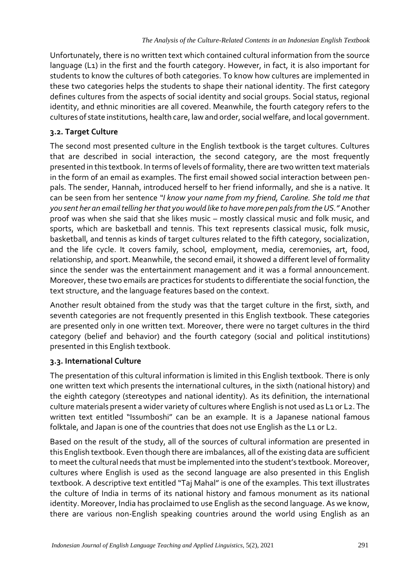Unfortunately, there is no written text which contained cultural information from the source language (L1) in the first and the fourth category. However, in fact, it is also important for students to know the cultures of both categories. To know how cultures are implemented in these two categories helps the students to shape their national identity. The first category defines cultures from the aspects of social identity and social groups. Social status, regional identity, and ethnic minorities are all covered. Meanwhile, the fourth category refers to the cultures of state institutions, health care, law and order, social welfare, and local government.

# **3.2. Target Culture**

The second most presented culture in the English textbook is the target cultures. Cultures that are described in social interaction, the second category, are the most frequently presented in this textbook. In terms of levels of formality, there are two written text materials in the form of an email as examples. The first email showed social interaction between penpals. The sender, Hannah, introduced herself to her friend informally, and she is a native. It can be seen from her sentence *"I know your name from my friend, Caroline. She told me that you sent her an email telling her that you would like to have more pen pals from the US."* Another proof was when she said that she likes music – mostly classical music and folk music, and sports, which are basketball and tennis. This text represents classical music, folk music, basketball, and tennis as kinds of target cultures related to the fifth category, socialization, and the life cycle. It covers family, school, employment, media, ceremonies, art, food, relationship, and sport. Meanwhile, the second email, it showed a different level of formality since the sender was the entertainment management and it was a formal announcement. Moreover, these two emails are practices for students to differentiate the social function, the text structure, and the language features based on the context.

Another result obtained from the study was that the target culture in the first, sixth, and seventh categories are not frequently presented in this English textbook. These categories are presented only in one written text. Moreover, there were no target cultures in the third category (belief and behavior) and the fourth category (social and political institutions) presented in this English textbook.

# **3.3. International Culture**

The presentation of this cultural information is limited in this English textbook. There is only one written text which presents the international cultures, in the sixth (national history) and the eighth category (stereotypes and national identity). As its definition, the international culture materials present a wider variety of cultures where English is not used as L1 or L2. The written text entitled "Issumboshi" can be an example. It is a Japanese national famous folktale, and Japan is one of the countries that does not use English as the L1 or L2.

Based on the result of the study, all of the sources of cultural information are presented in this English textbook. Even though there are imbalances, all of the existing data are sufficient to meet the cultural needs that must be implemented into the student's textbook. Moreover, cultures where English is used as the second language are also presented in this English textbook. A descriptive text entitled "Taj Mahal" is one of the examples. This text illustrates the culture of India in terms of its national history and famous monument as its national identity. Moreover, India has proclaimed to use English as the second language. As we know, there are various non-English speaking countries around the world using English as an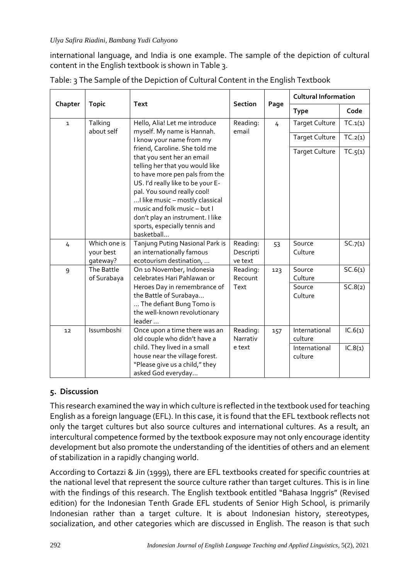international language, and India is one example. The sample of the depiction of cultural content in the English textbook is shown in Table 3.

|              | <b>Topic</b>              | <b>Text</b>                                                                                                                                                                                                                                                                                                                                                | <b>Section</b>              | Page | <b>Cultural Information</b>            |                    |
|--------------|---------------------------|------------------------------------------------------------------------------------------------------------------------------------------------------------------------------------------------------------------------------------------------------------------------------------------------------------------------------------------------------------|-----------------------------|------|----------------------------------------|--------------------|
| Chapter      |                           |                                                                                                                                                                                                                                                                                                                                                            |                             |      | <b>Type</b>                            | Code               |
| $\mathbf{1}$ | Talking<br>about self     | Hello, Alia! Let me introduce<br>myself. My name is Hannah.                                                                                                                                                                                                                                                                                                | Reading:<br>email           | 4    | <b>Target Culture</b>                  | TC.1(1)            |
|              |                           | I know your name from my                                                                                                                                                                                                                                                                                                                                   |                             |      | <b>Target Culture</b>                  | TC.2(1)            |
|              |                           | friend, Caroline. She told me<br>that you sent her an email<br>telling her that you would like<br>to have more pen pals from the<br>US. I'd really like to be your E-<br>pal. You sound really cool!<br>I like music - mostly classical<br>music and folk music - but I<br>don't play an instrument. I like<br>sports, especially tennis and<br>basketball |                             |      | <b>Target Culture</b>                  | TC.5(1)            |
| 4            | Which one is              | Tanjung Puting Nasional Park is                                                                                                                                                                                                                                                                                                                            | Reading:                    | 53   | Source                                 | SC.7(1)            |
|              | your best<br>gateway?     | an internationally famous<br>ecotourism destination,                                                                                                                                                                                                                                                                                                       | Descripti<br>ve text        |      | Culture                                |                    |
| 9            | The Battle<br>of Surabaya | On 10 November, Indonesia<br>celebrates Hari Pahlawan or<br>Heroes Day in remembrance of<br>the Battle of Surabaya<br>The defiant Bung Tomo is<br>the well-known revolutionary<br>leader                                                                                                                                                                   | Reading:<br>Recount<br>Text | 123  | Source<br>Culture<br>Source<br>Culture | SC.6(1)<br>SC.8(2) |
| 12           | Issumboshi                | Once upon a time there was an<br>old couple who didn't have a                                                                                                                                                                                                                                                                                              | Reading:<br>Narrativ        | 157  | International<br>culture               | IC.6(1)            |
|              |                           | child. They lived in a small<br>house near the village forest.<br>"Please give us a child," they<br>asked God everyday                                                                                                                                                                                                                                     | e text                      |      | International<br>culture               | IC.8(1)            |

|  |  | Table: 3 The Sample of the Depiction of Cultural Content in the English Textbook |  |
|--|--|----------------------------------------------------------------------------------|--|
|  |  |                                                                                  |  |

## **5. Discussion**

This research examined the way in which culture is reflected in the textbook used for teaching English as a foreign language (EFL). In this case, it is found that the EFL textbook reflects not only the target cultures but also source cultures and international cultures. As a result, an intercultural competence formed by the textbook exposure may not only encourage identity development but also promote the understanding of the identities of others and an element of stabilization in a rapidly changing world.

According to Cortazzi & Jin (1999), there are EFL textbooks created for specific countries at the national level that represent the source culture rather than target cultures. This is in line with the findings of this research. The English textbook entitled "Bahasa Inggris" (Revised edition) for the Indonesian Tenth Grade EFL students of Senior High School, is primarily Indonesian rather than a target culture. It is about Indonesian history, stereotypes, socialization, and other categories which are discussed in English. The reason is that such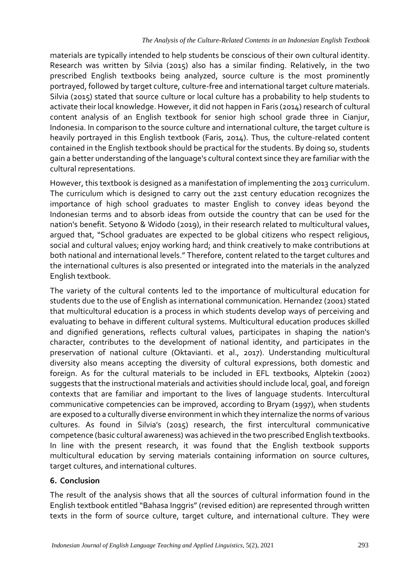materials are typically intended to help students be conscious of their own cultural identity. Research was written by Silvia (2015) also has a similar finding. Relatively, in the two prescribed English textbooks being analyzed, source culture is the most prominently portrayed, followed by target culture, culture-free and international target culture materials. Silvia (2015) stated that source culture or local culture has a probability to help students to activate their local knowledge. However, it did not happen in Faris (2014) research of cultural content analysis of an English textbook for senior high school grade three in Cianjur, Indonesia. In comparison to the source culture and international culture, the target culture is heavily portrayed in this English textbook (Faris, 2014). Thus, the culture-related content contained in the English textbook should be practical for the students. By doing so, students gain a better understanding of the language's cultural context since they are familiar with the cultural representations.

However, this textbook is designed as a manifestation of implementing the 2013 curriculum. The curriculum which is designed to carry out the 21st century education recognizes the importance of high school graduates to master English to convey ideas beyond the Indonesian terms and to absorb ideas from outside the country that can be used for the nation's benefit. Setyono & Widodo (2019), in their research related to multicultural values, argued that, "School graduates are expected to be global citizens who respect religious, social and cultural values; enjoy working hard; and think creatively to make contributions at both national and international levels." Therefore, content related to the target cultures and the international cultures is also presented or integrated into the materials in the analyzed English textbook.

The variety of the cultural contents led to the importance of multicultural education for students due to the use of English as international communication. Hernandez (2001) stated that multicultural education is a process in which students develop ways of perceiving and evaluating to behave in different cultural systems. Multicultural education produces skilled and dignified generations, reflects cultural values, participates in shaping the nation's character, contributes to the development of national identity, and participates in the preservation of national culture (Oktavianti. et al., 2017). Understanding multicultural diversity also means accepting the diversity of cultural expressions, both domestic and foreign. As for the cultural materials to be included in EFL textbooks, Alptekin (2002) suggests that the instructional materials and activities should include local, goal, and foreign contexts that are familiar and important to the lives of language students. Intercultural communicative competencies can be improved, according to Bryam (1997), when students are exposed to a culturally diverse environment in which they internalize the norms of various cultures. As found in Silvia's (2015) research, the first intercultural communicative competence (basic cultural awareness) was achieved in the two prescribed English textbooks. In line with the present research, it was found that the English textbook supports multicultural education by serving materials containing information on source cultures, target cultures, and international cultures.

## **6. Conclusion**

The result of the analysis shows that all the sources of cultural information found in the English textbook entitled "Bahasa Inggris" (revised edition) are represented through written texts in the form of source culture, target culture, and international culture. They were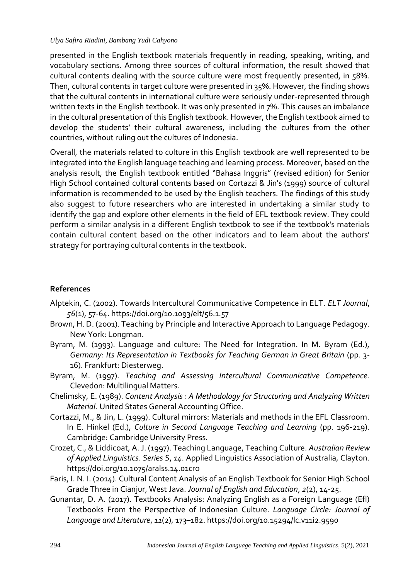presented in the English textbook materials frequently in reading, speaking, writing, and vocabulary sections. Among three sources of cultural information, the result showed that cultural contents dealing with the source culture were most frequently presented, in 58%. Then, cultural contents in target culture were presented in 35%. However, the finding shows that the cultural contents in international culture were seriously under-represented through written texts in the English textbook. It was only presented in 7%. This causes an imbalance in the cultural presentation of this English textbook. However, the English textbook aimed to develop the students' their cultural awareness, including the cultures from the other countries, without ruling out the cultures of Indonesia.

Overall, the materials related to culture in this English textbook are well represented to be integrated into the English language teaching and learning process. Moreover, based on the analysis result, the English textbook entitled "Bahasa Inggris" (revised edition) for Senior High School contained cultural contents based on Cortazzi & Jin's (1999) source of cultural information is recommended to be used by the English teachers. The findings of this study also suggest to future researchers who are interested in undertaking a similar study to identify the gap and explore other elements in the field of EFL textbook review. They could perform a similar analysis in a different English textbook to see if the textbook's materials contain cultural content based on the other indicators and to learn about the authors' strategy for portraying cultural contents in the textbook.

### **References**

- Alptekin, C. (2002). Towards Intercultural Communicative Competence in ELT. *ELT Journal*, *56*(1), 57-64. https://doi.org/10.1093/elt/56.1.57
- Brown, H. D. (2001). Teaching by Principle and Interactive Approach to Language Pedagogy. New York: Longman.
- Byram, M. (1993). Language and culture: The Need for Integration. In M. Byram (Ed.), *Germany: Its Representation in Textbooks for Teaching German in Great Britain* (pp. 3- 16). Frankfurt: Diesterweg.
- Byram, M. (1997). *Teaching and Assessing Intercultural Communicative Competence.* Clevedon: Multilingual Matters.
- Chelimsky, E. (1989). *Content Analysis : A Methodology for Structuring and Analyzing Written Material.* United States General Accounting Office.
- Cortazzi, M., & Jin, L. (1999). Cultural mirrors: Materials and methods in the EFL Classroom. In E. Hinkel (Ed.), *Culture in Second Language Teaching and Learning* (pp. 196-219). Cambridge: Cambridge University Press*.*
- Crozet, C., & Liddicoat, A. J. (1997). Teaching Language, Teaching Culture. *Australian Review of Applied Linguistics. Series S*, *14*. Applied Linguistics Association of Australia, Clayton. https://doi.org/10.1075/aralss.14.01cro
- Faris, I. N. I. (2014). Cultural Content Analysis of an English Textbook for Senior High School Grade Three in Cianjur, West Java. *Journal of English and Education*, *2*(2), 14-25.
- Gunantar, D. A. (2017). Textbooks Analysis: Analyzing English as a Foreign Language (Efl) Textbooks From the Perspective of Indonesian Culture. *Language Circle: Journal of Language and Literature*, *11*(2), 173–182. https://doi.org/10.15294/lc.v11i2.9590